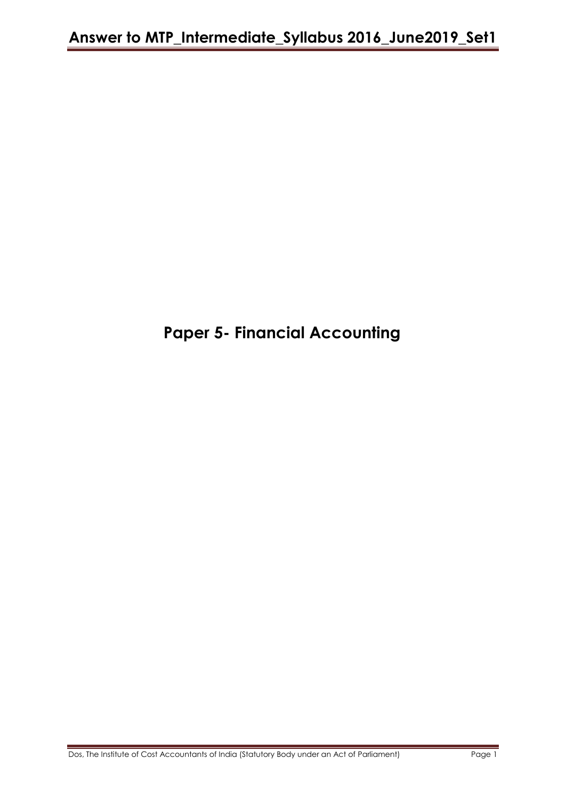# **Paper 5- Financial Accounting**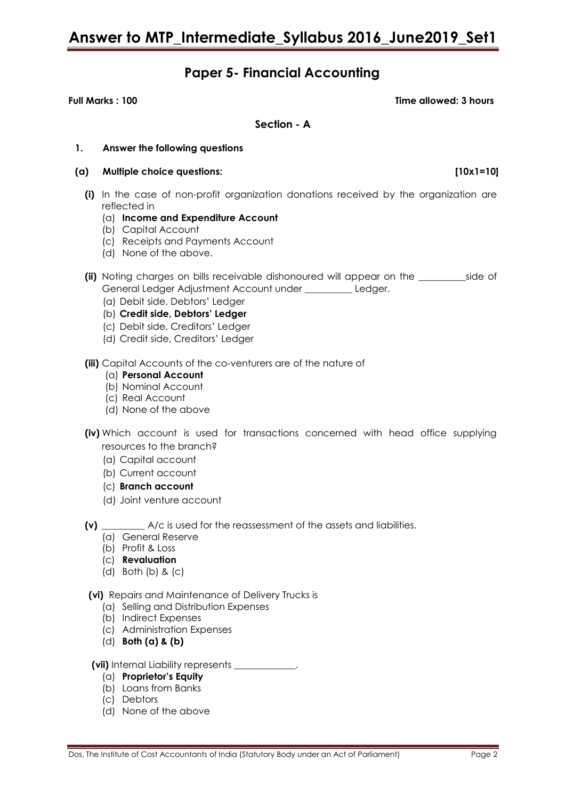# **Paper 5- Financial Accounting**

**Full Marks : 100 Time allowed: 3 hours**

**Section - A**

#### **1. Answer the following questions**

- **(a) Multiple choice questions: [10x1=10]**
	- **(i)** In the case of non-profit organization donations received by the organization are reflected in
		- (a) **Income and Expenditure Account**
		- (b) Capital Account
		- (c) Receipts and Payments Account
		- (d) None of the above.
	- **(ii)** Noting charges on bills receivable dishonoured will appear on the side of General Ledger Adjustment Account under \_\_\_\_\_\_\_\_\_\_ Ledger.
		- (a) Debit side, Debtors' Ledger
		- (b) **Credit side, Debtors' Ledger**
		- (c) Debit side, Creditors' Ledger
		- (d) Credit side, Creditors' Ledger

**(iii)** Capital Accounts of the co-venturers are of the nature of

- (a) **Personal Account**
- (b) Nominal Account
- (c) Real Account
- (d) None of the above
- **(iv)** Which account is used for transactions concerned with head office supplying resources to the branch?
	- (a) Capital account
	- (b) Current account
	- (c) **Branch account**
	- (d) Joint venture account
- **(v)** \_\_\_\_\_\_\_\_\_ A/c is used for the reassessment of the assets and liabilities.
	- (a) General Reserve
	- (b) Profit & Loss
	- (c) **Revaluation**
	- (d) Both (b) & (c)

#### **(vi)** Repairs and Maintenance of Delivery Trucks is

- (a) Selling and Distribution Expenses
- (b) Indirect Expenses
- (c) Administration Expenses
- (d) **Both (a) & (b)**

#### **(vii)** Internal Liability represents \_\_\_\_\_\_\_\_\_\_\_\_\_.

- (a) **Proprietor's Equity**
- (b) Loans from Banks
- (c) Debtors
- (d) None of the above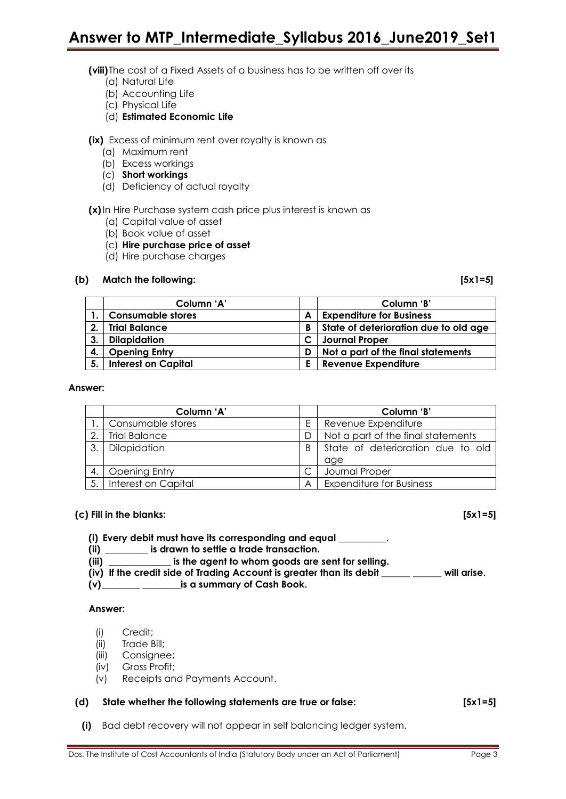**(viii)**The cost of a Fixed Assets of a business has to be written off over its

- (a) Natural Life
- (b) Accounting Life
- (c) Physical Life
- (d) **Estimated Economic Life**

**(ix)** Excess of minimum rent over royalty is known as

- (a) Maximum rent
- (b) Excess workings
- (c) **Short workings**
- (d) Deficiency of actual royalty

### **(x)**In Hire Purchase system cash price plus interest is known as

- (a) Capital value of asset
- (b) Book value of asset
- (c) **Hire purchase price of asset**
- (d) Hire purchase charges

### **(b) Match the following: [5x1=5]**

|              | Column 'A'                 |   | Column 'B'                            |
|--------------|----------------------------|---|---------------------------------------|
|              | <b>Consumable stores</b>   | А | <b>Expenditure for Business</b>       |
| $\mathbf{2}$ | <b>Trial Balance</b>       | В | State of deterioration due to old age |
| $\mathbf{3}$ | Dilapidation               |   | <b>Journal Proper</b>                 |
| 4.           | <b>Opening Entry</b>       | D | Not a part of the final statements    |
| -5.          | <b>Interest on Capital</b> | E | Revenue Expenditure                   |

#### **Answer:**

|    | Column 'A'           |   | Column 'B'                         |  |  |
|----|----------------------|---|------------------------------------|--|--|
|    | Consumable stores    | Ε | Revenue Expenditure                |  |  |
|    | <b>Trial Balance</b> |   | Not a part of the final statements |  |  |
| 3. | Dilapidation         | B | State of deterioration due to old  |  |  |
|    |                      |   | age                                |  |  |
|    | <b>Opening Entry</b> |   | Journal Proper                     |  |  |
|    | Interest on Capital  | A | <b>Expenditure for Business</b>    |  |  |

#### **(c) Fill in the blanks: [5x1=5]**

- **(i) Every debit must have its corresponding and equal \_\_\_\_\_\_\_\_\_\_.**
- **(ii) \_\_\_\_\_\_\_\_\_ is drawn to settle a trade transaction.**
- **(iii) \_\_\_\_\_\_\_\_\_\_\_\_\_ is the agent to whom goods are sent for selling.**
- **(iv) If the credit side of Trading Account is greater than its debit \_\_\_\_\_\_ \_\_\_\_\_\_ will arise.**
- **(v)\_\_\_\_\_\_\_\_ \_\_\_\_\_\_\_\_is a summary of Cash Book.**

#### **Answer:**

- (i) Credit;
- (ii) Trade Bill;
- (iii) Consignee;
- (iv) Gross Profit;
- (v) Receipts and Payments Account.

#### **(d) State whether the following statements are true or false: [5x1=5]**

**(i)** Bad debt recovery will not appear in self balancing ledger system.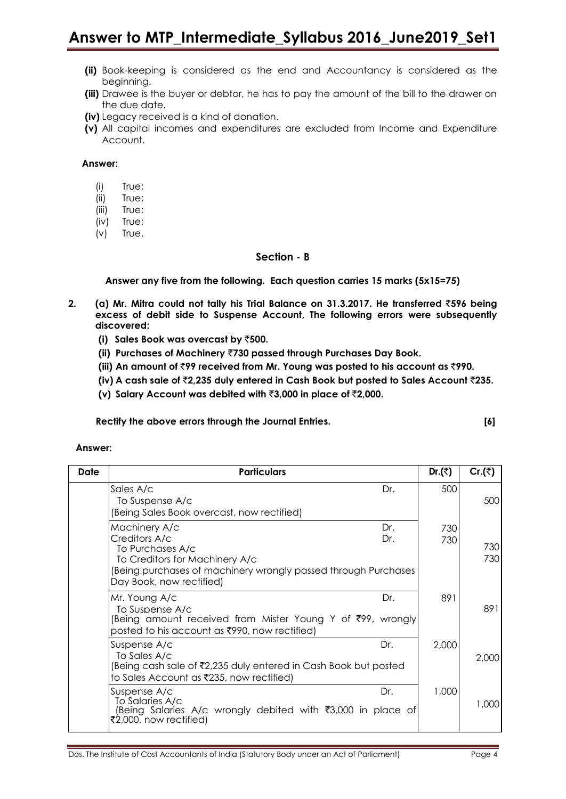- **(ii)** Book-keeping is considered as the end and Accountancy is considered as the beginning.
- **(iii)** Drawee is the buyer or debtor, he has to pay the amount of the bill to the drawer on the due date.
- **(iv)** Legacy received is a kind of donation.
- **(v)** All capital incomes and expenditures are excluded from Income and Expenditure Account.

**Answer:**

- (i) True;
- (ii) True;
- (iii) True;
- (iv) True;
- (v) True.

#### **Section - B**

**Answer any five from the following. Each question carries 15 marks (5x15=75)**

- **2. (a) Mr. Mitra could not tally his Trial Balance on 31.3.2017. He transferred** `**596 being excess of debit side to Suspense Account, The following errors were subsequently discovered:**
	- **(i) Sales Book was overcast by** `**500.**
	- **(ii) Purchases of Machinery** `**730 passed through Purchases Day Book.**
	- **(iii) An amount of** `**99 received from Mr. Young was posted to his account as** `**990.**
	- **(iv) A cash sale of** `**2,235 duly entered in Cash Book but posted to Sales Account** `**235.**
	- **(v) Salary Account was debited with** `**3,000 in place of** `**2,000.**

**Rectify the above errors through the Journal Entries. [6]**

#### **Answer:**

| Date | <b>Particulars</b>                                                                                                                                                                 |            | Dr. $($ ₹) | Cr. $($ ₹) |
|------|------------------------------------------------------------------------------------------------------------------------------------------------------------------------------------|------------|------------|------------|
|      | Sales A/c<br>To Suspense A/c<br>(Being Sales Book overcast, now rectified)                                                                                                         | Dr.        | 500        | 500        |
|      | Machinery A/c<br>Creditors A/c<br>To Purchases A/c<br>To Creditors for Machinery A/c<br>(Being purchases of machinery wrongly passed through Purchases<br>Day Book, now rectified) | Dr.<br>Dr. | 730<br>730 | 730<br>730 |
|      | Mr. Young A/c<br>To Suspense A/c<br>(Being amount received from Mister Young Y of ₹99, wrongly<br>posted to his account as ₹990, now rectified)                                    | Dr.        | 891        | 891        |
|      | Suspense A/c<br>Dr.<br>To Sales A/c<br>(Being cash sale of ₹2,235 duly entered in Cash Book but posted<br>to Sales Account as ₹235, now rectified)                                 |            | 2,000      | 2,000      |
|      | Suspense A/c<br>Dr.<br>To Salaries A/c<br>(Being Salaries A/c wrongly debited with ₹3,000 in place of<br>₹2,000, now rectified)                                                    |            | 1,000      | 1,000      |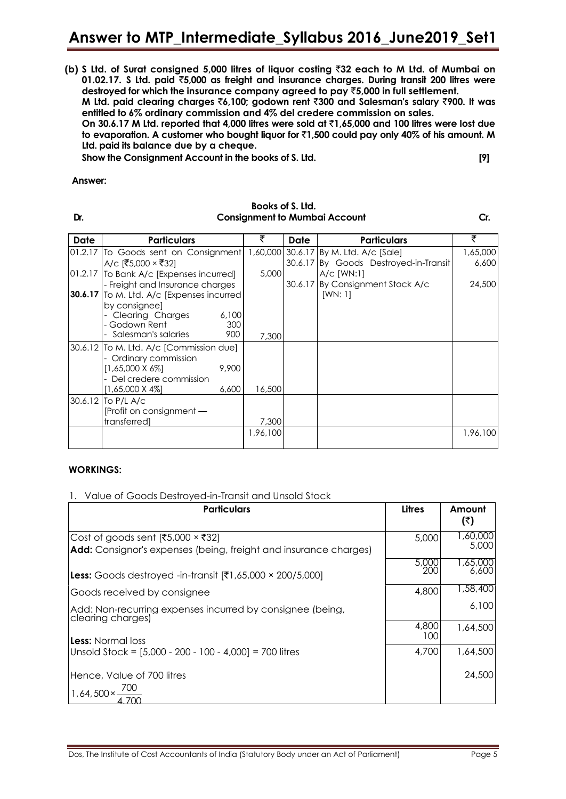**(b) S Ltd. of Surat consigned 5,000 litres of liquor costing** `**32 each to M Ltd. of Mumbai on 01.02.17. S Ltd. paid** `**5,000 as freight and insurance charges. During transit 200 litres were destroyed for which the insurance company agreed to pay** `**5,000 in full settlement.**

**M Ltd. paid clearing charges** `**6,100; godown rent** `**300 and Salesman's salary** `**900. It was entitled to 6% ordinary commission and 4% del credere commission on sales.**

**On 30.6.17 M Ltd. reported that 4,000 litres were sold at** `**1,65,000 and 100 litres were lost due to evaporation. A customer who bought liquor for** `**1,500 could pay only 40% of his amount. M Ltd. paid its balance due by a cheque.**

**Show the Consignment Account in the books of S. Ltd. [9]**

#### **Answer:**

#### **Books of S. Ltd. Dr. Consignment to Mumbai Account Cr.**

| <b>Date</b> | <b>Particulars</b>                               |            | ₹        | Date    | <b>Particulars</b>                    | ₹        |
|-------------|--------------------------------------------------|------------|----------|---------|---------------------------------------|----------|
|             | 01.2.17 To Goods sent on Consignment             |            | 1,60,000 |         | 30.6.17 By M. Ltd. A/c [Sale]         | 1,65,000 |
|             | A/c [₹5,000 × ₹32]                               |            |          |         | 30.6.17 By Goods Destroyed-in-Transit | 6,600    |
|             | 01.2.17 To Bank A/c [Expenses incurred]          |            | 5,000    |         | $A/C$ [WN:1]                          |          |
|             | - Freight and Insurance charges                  |            |          | 30.6.17 | By Consignment Stock A/c              | 24,500   |
|             | 30.6.17 To M. Ltd. A/c [Expenses incurred        |            |          |         | [WN: 1]                               |          |
|             | by consignee]                                    |            |          |         |                                       |          |
|             | Clearing Charges                                 | 6,100      |          |         |                                       |          |
|             | - Godown Rent<br>Salesman's salaries             | 300<br>900 |          |         |                                       |          |
|             |                                                  |            | 7,300    |         |                                       |          |
|             | 30.6.12 To M. Ltd. A/c [Commission due]          |            |          |         |                                       |          |
|             | - Ordinary commission<br>$[1,65,000 \times 6\%]$ | 9,900      |          |         |                                       |          |
|             | Del credere commission                           |            |          |         |                                       |          |
|             | [1,65,000 X 4%]                                  | 6,600      | 16,500   |         |                                       |          |
|             | 30.6.12 To P/L A/c                               |            |          |         |                                       |          |
|             | [Profit on consignment -                         |            |          |         |                                       |          |
|             | transferred]                                     |            | 7,300    |         |                                       |          |
|             |                                                  |            | 1,96,100 |         |                                       | 1,96,100 |
|             |                                                  |            |          |         |                                       |          |

## **WORKINGS:**

## 1. Value of Goods Destroyed-in-Transit and Unsold Stock

| <b>Particulars</b>                                                                                                  | Litres       | Amount<br>(₹)     |
|---------------------------------------------------------------------------------------------------------------------|--------------|-------------------|
| Cost of goods sent [₹5,000 $\times$ ₹32]<br><b>Add:</b> Consignor's expenses (being, freight and insurance charges) | 5,000        | 1,60,000<br>5,000 |
| <b>Less:</b> Goods destroyed -in-transit $[ ₹1,65,000 \times 200/5,000]$                                            | 5,000<br>200 | 000,65 ا<br>6,600 |
| Goods received by consignee                                                                                         | 4,800        | 58,400, ا         |
| Add: Non-recurring expenses incurred by consignee (being,<br>clearing charges)                                      |              | 6,100             |
| <b>Less:</b> Normal loss                                                                                            | 4,800<br>100 | 1,64,500          |
| Unsold Stock = $[5,000 - 200 - 100 - 4,000] = 700$ litres                                                           | 4,700        | 1,64,500          |
| Hence, Value of 700 litres                                                                                          |              | 24,500            |
| $1,64,500 \times -$                                                                                                 |              |                   |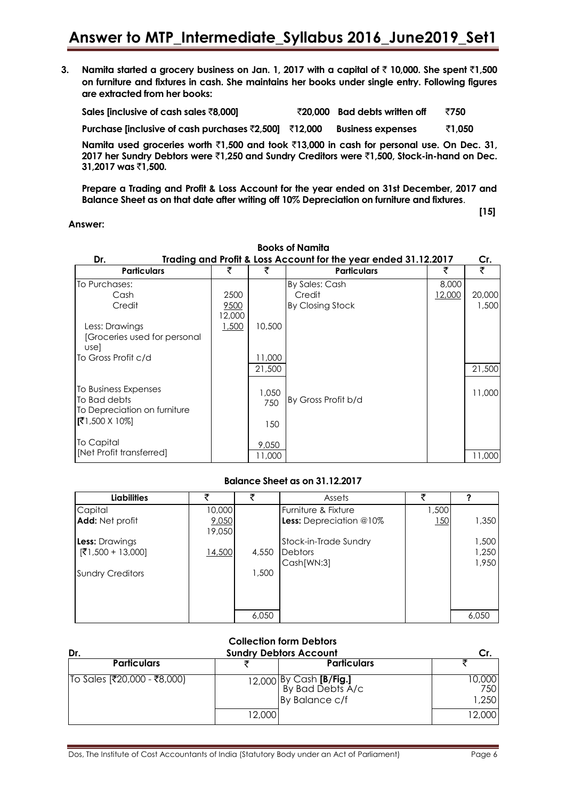**3. Namita started a grocery business on Jan. 1, 2017 with a capital of** ` **10,000. She spent** `**1,500 on furniture and fixtures in cash. She maintains her books under single entry. Following figures are extracted from her books:**

| Sales [inclusive of cash sales ₹8,000]                | ₹20,000 Bad debts written off | ₹750   |
|-------------------------------------------------------|-------------------------------|--------|
| Purchase [inclusive of cash purchases ₹2,500] ₹12,000 | <b>Business expenses</b>      | ₹1.050 |

**Namita used groceries worth** `**1,500 and took** `**13,000 in cash for personal use. On Dec. 31, 2017 her Sundry Debtors were** `**1,250 and Sundry Creditors were** `**1,500, Stock-in-hand on Dec. 31,2017 was** `**1,500.**

**Prepare a Trading and Profit & Loss Account for the year ended on 31st December, 2017 and Balance Sheet as on that date after writing off 10% Depreciation on furniture and fixtures**.

**Answer:**

**[15]**

| <b>Books of Namita</b>                                                                         |                        |                        |                                                                 |                 |                 |  |
|------------------------------------------------------------------------------------------------|------------------------|------------------------|-----------------------------------------------------------------|-----------------|-----------------|--|
| Dr.                                                                                            |                        |                        | Trading and Profit & Loss Account for the year ended 31.12.2017 |                 | Cr.             |  |
| <b>Particulars</b>                                                                             | ₹                      | ₹                      | <b>Particulars</b>                                              | ₹               | ₹               |  |
| To Purchases:<br>Cash<br>Credit                                                                | 2500<br>9500<br>12,000 |                        | By Sales: Cash<br>Credit<br>By Closing Stock                    | 8,000<br>12,000 | 20,000<br>1,500 |  |
| Less: Drawings<br>[Groceries used for personal<br>usel<br>To Gross Profit c/d                  | 1,500                  | 10,500<br>11,000       |                                                                 |                 |                 |  |
|                                                                                                |                        | 21,500                 |                                                                 |                 | 21,500          |  |
| To Business Expenses<br>To Bad debts<br>To Depreciation on furniture<br>$[71,500 \times 10\%]$ |                        | 1,050<br>750           | By Gross Profit b/d                                             |                 | 11,000          |  |
| To Capital<br>[Net Profit transferred]                                                         |                        | 150<br>9,050<br>11,000 |                                                                 |                 | 11,000          |  |

#### **Balance Sheet as on 31.12.2017**

| <b>Liabilities</b>      | ₹               | ₹     | Assets                         | チ     |       |
|-------------------------|-----------------|-------|--------------------------------|-------|-------|
| Capital                 | 10,000          |       | Furniture & Fixture            | 1,500 |       |
| Add: Net profit         | 9,050<br>19,050 |       | <b>Less:</b> Depreciation @10% | 150   | 1,350 |
| <b>Less:</b> Drawings   |                 |       | Stock-in-Trade Sundry          |       | 1,500 |
| $[}1,500 + 13,000]$     | 14,500          | 4,550 | <b>Debtors</b>                 |       | 1,250 |
|                         |                 |       | Cash[WN:3]                     |       | 1,950 |
| <b>Sundry Creditors</b> |                 | 1,500 |                                |       |       |
|                         |                 |       |                                |       |       |
|                         |                 |       |                                |       |       |
|                         |                 |       |                                |       |       |
|                         |                 | 6,050 |                                |       | 6,050 |

| <b>Collection form Debtors</b><br><b>Sundry Debtors Account</b><br>Dr.<br>Cr. |        |                                                                      |                        |  |  |  |  |
|-------------------------------------------------------------------------------|--------|----------------------------------------------------------------------|------------------------|--|--|--|--|
| <b>Particulars</b>                                                            |        | <b>Particulars</b>                                                   |                        |  |  |  |  |
| To Sales [₹20,000 - ₹8,000)                                                   |        | 12,000 By Cash <b>[B/Fig.]</b><br>By Bad Debts A/c<br>By Balance c/f | 10,000<br>750<br>1,250 |  |  |  |  |
|                                                                               | 12,000 |                                                                      | 12,000                 |  |  |  |  |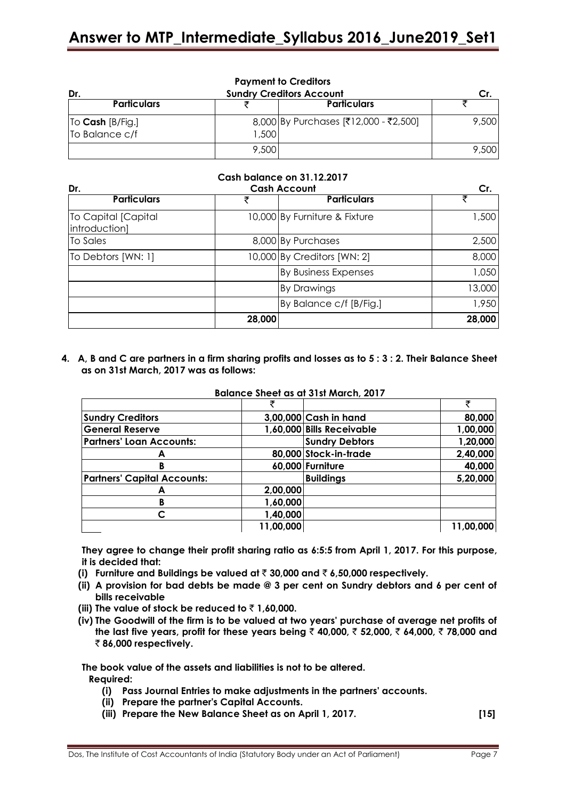| <b>Payment to Creditors</b><br><b>Sundry Creditors Account</b><br>Dr.<br>Cr. |       |                                       |       |  |  |  |
|------------------------------------------------------------------------------|-------|---------------------------------------|-------|--|--|--|
| <b>Particulars</b>                                                           |       | <b>Particulars</b>                    |       |  |  |  |
| To Cash [B/Fig.]<br>To Balance c/f                                           | 1,500 | 8,000 By Purchases [₹12,000 - ₹2,500] | 9,500 |  |  |  |
|                                                                              | 9,500 |                                       | 9,500 |  |  |  |

#### **Cash balance on 31.12.2017**

| Dr.                                  |        | <b>Cash Account</b>           |        |  |
|--------------------------------------|--------|-------------------------------|--------|--|
| <b>Particulars</b>                   |        | <b>Particulars</b>            |        |  |
| To Capital [Capital<br>introduction] |        | 10,000 By Furniture & Fixture | 1,500  |  |
| To Sales                             |        | 8,000 By Purchases            | 2,500  |  |
| To Debtors [WN: 1]                   |        | 10,000 By Creditors [WN: 2]   | 8,000  |  |
|                                      |        | <b>By Business Expenses</b>   | 1,050  |  |
|                                      |        | <b>By Drawings</b>            | 13,000 |  |
|                                      |        | By Balance c/f [B/Fig.]       | 1,950  |  |
|                                      | 28,000 |                               | 28,000 |  |

**4. A, B and C are partners in a firm sharing profits and losses as to 5 : 3 : 2. Their Balance Sheet as on 31st March, 2017 was as follows:**

| <b>Sundry Creditors</b>            |           | 3,00,000 Cash in hand     | 80,000    |
|------------------------------------|-----------|---------------------------|-----------|
| <b>General Reserve</b>             |           | 1,60,000 Bills Receivable | 1,00,000  |
| <b>Partners' Loan Accounts:</b>    |           | <b>Sundry Debtors</b>     | 1,20,000  |
| А                                  |           | 80,000 Stock-in-trade     | 2,40,000  |
| в                                  |           | 60,000 Furniture          | 40,000    |
| <b>Partners' Capital Accounts:</b> |           | <b>Buildings</b>          | 5,20,000  |
| A                                  | 2,00,000  |                           |           |
| в                                  | 1,60,000  |                           |           |
| C                                  | 1,40,000  |                           |           |
|                                    | 11,00,000 |                           | 11,00,000 |

## **Balance Sheet as at 31st March, 2017**

**They agree to change their profit sharing ratio as 6:5:5 from April 1, 2017. For this purpose, it is decided that:** 

- **(i) Furniture and Buildings be valued at** ` **30,000 and** ` **6,50,000 respectively.**
- **(ii) A provision for bad debts be made @ 3 per cent on Sundry debtors and 6 per cent of bills receivable**
- (iii) The value of stock be reduced to  $\bar{\tau}$  1,60,000.
- **(iv) The Goodwill of the firm is to be valued at two years' purchase of average net profits of the last five years, profit for these years being** ` **40,000,** ` **52,000,** ` **64,000,** ` **78,000 and**  ` **86,000 respectively.**

**The book value of the assets and liabilities is not to be altered.** 

**Required:**

- **(i) Pass Journal Entries to make adjustments in the partners' accounts.**
- **(ii) Prepare the partner's Capital Accounts.**
- **(iii) Prepare the New Balance Sheet as on April 1, 2017. [15]**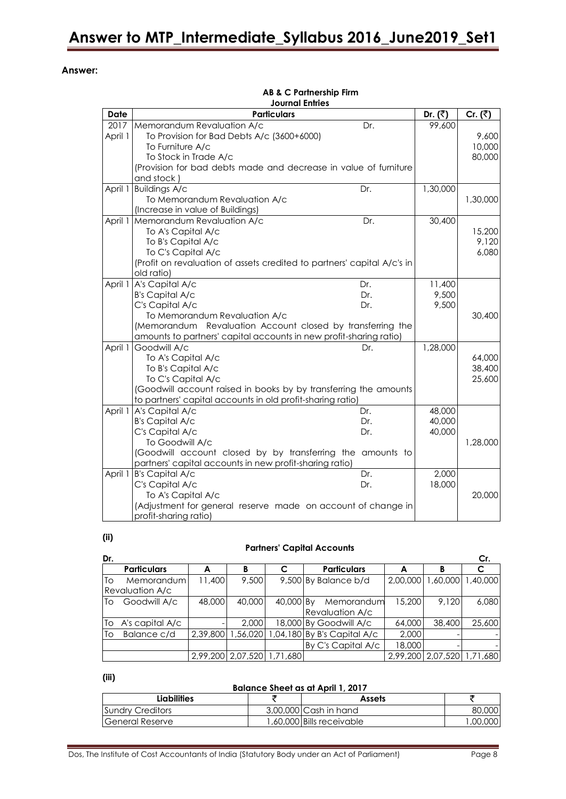#### **Answer:**

|             | <b>Journal Entries</b>                                                  |                     |                      |  |  |  |  |
|-------------|-------------------------------------------------------------------------|---------------------|----------------------|--|--|--|--|
| <b>Date</b> | <b>Particulars</b>                                                      | Dr. $(\bar{\zeta})$ | Cr. $(\overline{z})$ |  |  |  |  |
| 2017        | Memorandum Revaluation A/c<br>Dr.                                       | 99,600              |                      |  |  |  |  |
| April 1     | To Provision for Bad Debts A/c (3600+6000)                              |                     | 9,600                |  |  |  |  |
|             | To Furniture A/c                                                        |                     | 10,000               |  |  |  |  |
|             | To Stock in Trade A/c                                                   |                     | 80,000               |  |  |  |  |
|             | (Provision for bad debts made and decrease in value of furniture        |                     |                      |  |  |  |  |
|             | and stock)                                                              |                     |                      |  |  |  |  |
| April 1     | <b>Buildings A/c</b><br>Dr.                                             | 1,30,000            |                      |  |  |  |  |
|             | To Memorandum Revaluation A/c                                           |                     | 1,30,000             |  |  |  |  |
|             | (Increase in value of Buildings)                                        |                     |                      |  |  |  |  |
| April 1     | Memorandum Revaluation A/c<br>Dr.                                       | 30,400              |                      |  |  |  |  |
|             | To A's Capital A/c                                                      |                     | 15,200               |  |  |  |  |
|             | To B's Capital A/c                                                      |                     | 9,120                |  |  |  |  |
|             | To C's Capital A/c                                                      |                     | 6,080                |  |  |  |  |
|             | (Profit on revaluation of assets credited to partners' capital A/c's in |                     |                      |  |  |  |  |
|             | old ratio)                                                              |                     |                      |  |  |  |  |
| April 1     | A's Capital A/c<br>Dr.                                                  | 11,400              |                      |  |  |  |  |
|             | <b>B's Capital A/c</b><br>Dr.                                           | 9,500               |                      |  |  |  |  |
|             | C's Capital A/c<br>Dr.                                                  | 9,500               |                      |  |  |  |  |
|             | To Memorandum Revaluation A/c                                           |                     | 30,400               |  |  |  |  |
|             | (Memorandum Revaluation Account closed by transferring the              |                     |                      |  |  |  |  |
|             | amounts to partners' capital accounts in new profit-sharing ratio)      |                     |                      |  |  |  |  |
| April 1     | Goodwill A/c<br>Dr.                                                     | 1,28,000            |                      |  |  |  |  |
|             | To A's Capital A/c                                                      |                     | 64,000               |  |  |  |  |
|             | To B's Capital A/c                                                      |                     | 38,400               |  |  |  |  |
|             | To C's Capital A/c                                                      |                     | 25,600               |  |  |  |  |
|             | (Goodwill account raised in books by by transferring the amounts        |                     |                      |  |  |  |  |
|             | to partners' capital accounts in old profit-sharing ratio)              |                     |                      |  |  |  |  |
| April 1     | A's Capital A/c<br>Dr.                                                  | 48,000              |                      |  |  |  |  |
|             | <b>B's Capital A/c</b><br>Dr.                                           | 40,000              |                      |  |  |  |  |
|             | C's Capital A/c<br>Dr.                                                  | 40,000              |                      |  |  |  |  |
|             | To Goodwill A/c                                                         |                     | 1,28,000             |  |  |  |  |
|             | (Goodwill account closed by by transferring the amounts to              |                     |                      |  |  |  |  |
|             | partners' capital accounts in new profit-sharing ratio)                 |                     |                      |  |  |  |  |
|             | April 1 B's Capital A/c<br>Dr.                                          | 2,000               |                      |  |  |  |  |
|             | C's Capital A/c<br>Dr.                                                  | 18,000              |                      |  |  |  |  |
|             | To A's Capital A/c                                                      |                     | 20,000               |  |  |  |  |
|             | (Adjustment for general reserve made on account of change in            |                     |                      |  |  |  |  |
|             | profit-sharing ratio)                                                   |                     |                      |  |  |  |  |

# **AB & C Partnership Firm**

#### **(ii)**

#### **Partners' Capital Accounts**

| Dr.  |                    |          |                            |           |                               |        |                            | Cr.    |
|------|--------------------|----------|----------------------------|-----------|-------------------------------|--------|----------------------------|--------|
|      | <b>Particulars</b> | A        | в                          |           | <b>Particulars</b>            |        | в                          |        |
| To   | Memorandum         | 11,400   | 9,500                      |           | 9,500 By Balance b/d          |        | 2,00,000 1,60,000 1,40,000 |        |
|      | Revaluation A/c    |          |                            |           |                               |        |                            |        |
| ITo. | Goodwill A/c       | 48,000   | 40,000                     | 40,000 By | Memorandum                    | 15,200 | 9.120                      | 6,080  |
|      |                    |          |                            |           | <b>Revaluation A/c</b>        |        |                            |        |
| lTo  | A's capital A/c    |          | 2,000                      |           | 18,000 By Goodwill A/c        | 64,000 | 38,400                     | 25,600 |
| l To | Balance c/d        | 2.39.800 | 1,56,020                   |           | $1,04,180$ By B's Capital A/c | 2,000  |                            |        |
|      |                    |          |                            |           | By C's Capital A/c            | 18,000 |                            |        |
|      |                    |          | 2,99,200 2,07,520 1,71,680 |           |                               |        | 2,99,200 2,07,520 1,71,680 |        |

**(iii)**

#### **Balance Sheet as at April 1, 2017**

| Liabilities      | Assets                    |         |
|------------------|---------------------------|---------|
| Sundry Creditors | 3.00.000 Cash in hand     | 80,000  |
| General Reserve  | 1,60,000 Bills receivable | ,00,000 |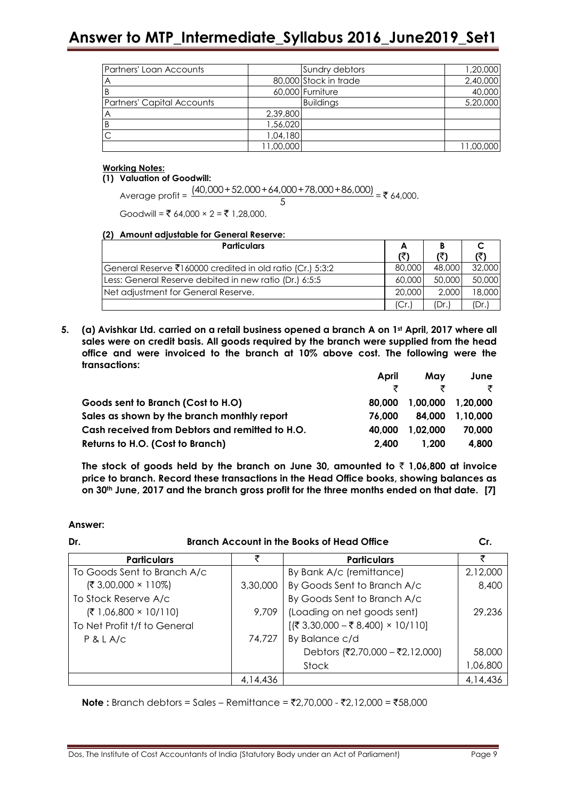| Partners' Loan Accounts    |           | Sundry debtors        | 1,20,000  |
|----------------------------|-----------|-----------------------|-----------|
|                            |           | 80,000 Stock in trade | 2,40,000  |
|                            |           | 60,000 Furniture      | 40,000    |
| Partners' Capital Accounts |           | <b>Buildings</b>      | 5,20,000  |
| Α                          | 2,39,800  |                       |           |
|                            | 1,56,020  |                       |           |
|                            | 1,04,180  |                       |           |
|                            | 11,00,000 |                       | 11,00,000 |

#### **Working Notes:**

#### **(1) Valuation of Goodwill:**

```
Average profit = 
      (40,000+52,000+64,000+78,000+86,000)
                            \frac{3000 + 70,000 + 60,000}{5} = 264,000.
```
Goodwill = ₹ 64,000 × 2 = ₹ 1,28,000.

#### **(2) Amount adjustable for General Reserve:**

| <b>Particulars</b>                                        | A      |        |        |
|-----------------------------------------------------------|--------|--------|--------|
|                                                           | (₹)    | (₹)    |        |
| General Reserve ₹160000 credited in old ratio (Cr.) 5:3:2 | 80,000 | 48.000 | 32,000 |
| Less: General Reserve debited in new ratio (Dr.) 6:5:5    | 60,000 | 50,000 | 50,000 |
| Net adjustment for General Reserve.                       | 20,000 | 2.000  | 18,000 |
|                                                           |        | (Dr.)  | (Dr.)  |

**5. (a) Avishkar Ltd. carried on a retail business opened a branch A on 1st April, 2017 where all sales were on credit basis. All goods required by the branch were supplied from the head office and were invoiced to the branch at 10% above cost. The following were the transactions:**

|                                                 | April  | Mav      | June     |
|-------------------------------------------------|--------|----------|----------|
|                                                 |        |          | ₹        |
| Goods sent to Branch (Cost to H.O)              | 80.000 | 1.00.000 | 1.20.000 |
| Sales as shown by the branch monthly report     | 76.000 | 84.000   | 1.10.000 |
| Cash received from Debtors and remitted to H.O. | 40.000 | 1.02.000 | 70,000   |
| Returns to H.O. (Cost to Branch)                | 2.400  | 1.200    | 4.800    |

The stock of goods held by the branch on June 30, amounted to  $\bar{\tau}$  1,06,800 at invoice **price to branch. Record these transactions in the Head Office books, showing balances as on 30th June, 2017 and the branch gross profit for the three months ended on that date. [7]**

#### **Answer:**

| <b>Branch Account in the Books of Head Office</b><br>Dr. |          |                                                              |          |  |
|----------------------------------------------------------|----------|--------------------------------------------------------------|----------|--|
| <b>Particulars</b>                                       | ₹        | <b>Particulars</b>                                           | ₹        |  |
| To Goods Sent to Branch A/c                              |          | By Bank A/c (remittance)                                     | 2,12,000 |  |
| $(3,00,000 \times 110%)$                                 | 3,30,000 | By Goods Sent to Branch A/c                                  | 8,400    |  |
| To Stock Reserve A/c                                     |          | By Goods Sent to Branch A/c                                  |          |  |
| $(71,06,800 \times 10/110)$                              | 9,709    | (Loading on net goods sent)                                  | 29,236   |  |
| To Net Profit t/f to General                             |          | $[(\overline{$}3,30,000 - \overline{$}8,400) \times 10/110]$ |          |  |
| P & L A/c                                                | 74,727   | By Balance c/d                                               |          |  |
|                                                          |          | Debtors (₹2,70,000 – ₹2,12,000)                              | 58,000   |  |
|                                                          |          | Stock                                                        | 1,06,800 |  |
|                                                          | 4.14.436 |                                                              | 4.14.436 |  |

**Note :** Branch debtors = Sales – Remittance =  $\overline{2}2,70,000$  -  $\overline{2}2,12,000$  =  $\overline{2}58,000$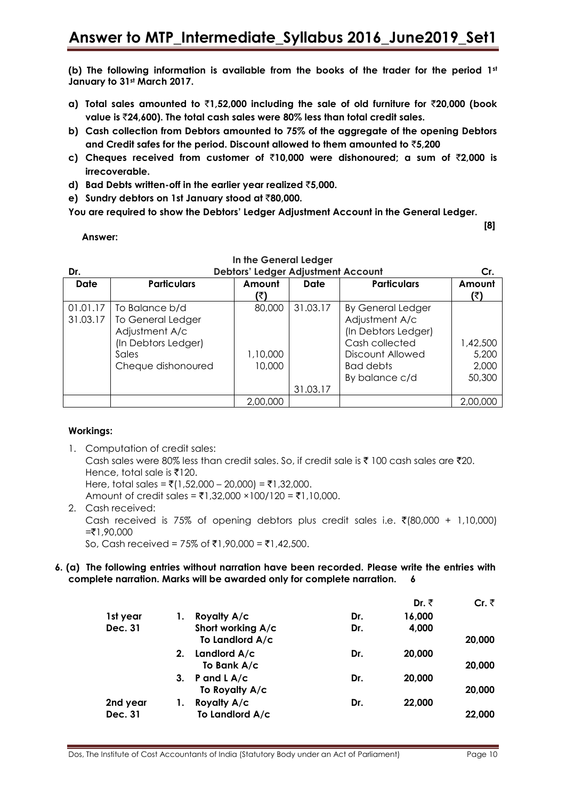**(b) The following information is available from the books of the trader for the period 1st January to 31st March 2017.**

- **a) Total sales amounted to** `**1,52,000 including the sale of old furniture for** `**20,000 (book value is** `**24,600). The total cash sales were 80% less than total credit sales.**
- **b) Cash collection from Debtors amounted to 75% of the aggregate of the opening Debtors and Credit safes for the period. Discount allowed to them amounted to** `**5,200**
- **c) Cheques received from customer of** `**10,000 were dishonoured; a sum of** `**2,000 is irrecoverable.**
- **d) Bad Debts written-off in the earlier year realized** `**5,000.**
- **e) Sundry debtors on 1st January stood at** `**80,000.**

**You are required to show the Debtors' Ledger Adjustment Account in the General Ledger.**

**Answer:**

| Dr.      | Debtors' Ledger Adjustment Account |          |          |                          |          |  |  |
|----------|------------------------------------|----------|----------|--------------------------|----------|--|--|
| Date     | <b>Particulars</b>                 | Amount   | Date     | <b>Particulars</b>       | Amount   |  |  |
|          |                                    | (₹)      |          |                          | (₹)      |  |  |
| 01.01.17 | To Balance b/d                     | 80,000   | 31.03.17 | <b>By General Ledger</b> |          |  |  |
| 31.03.17 | <b>To General Ledger</b>           |          |          | Adjustment A/c           |          |  |  |
|          | Adjustment A/c                     |          |          | (In Debtors Ledger)      |          |  |  |
|          | (In Debtors Ledger)                |          |          | Cash collected           | 1,42,500 |  |  |
|          | Sales                              | 1,10,000 |          | Discount Allowed         | 5,200    |  |  |
|          | Cheque dishonoured                 | 10,000   |          | Bad debts                | 2,000    |  |  |
|          |                                    |          |          | By balance c/d           | 50,300   |  |  |
|          |                                    |          | 31.03.17 |                          |          |  |  |
|          |                                    | 2,00,000 |          |                          | 2,00,000 |  |  |

**In the General Ledger**

## **Workings:**

1. Computation of credit sales: Cash sales were 80% less than credit sales. So, if credit sale is  $\bar{\tau}$  100 cash sales are  $\bar{\tau}$ 20. Hence, total sale is  $\bar{x}$ 120. Here, total sales =  $\bar{\tau}$ (1,52,000 – 20,000) =  $\bar{\tau}$ 1,32,000. Amount of credit sales = ₹1,32,000 ×100/120 = ₹1,10,000. 2. Cash received: Cash received is 75% of opening debtors plus credit sales i.e.  $\bar{\zeta}(80,000 + 1,10,000)$  $= ₹1,90,000$ 

So, Cash received = 75% of ₹1,90,000 = ₹1,42,500.

#### **6. (a) The following entries without narration have been recorded. Please write the entries with complete narration. Marks will be awarded only for complete narration. 6**

|          |    |                   |     | Dr. ₹  | Cr. $\bar{z}$ |
|----------|----|-------------------|-----|--------|---------------|
| 1st year |    | Royalty A/c       | Dr. | 16,000 |               |
| Dec. 31  |    | Short working A/c | Dr. | 4,000  |               |
|          |    | To Landlord A/c   |     |        | 20,000        |
|          | 2. | Landlord A/c      | Dr. | 20,000 |               |
|          |    | To Bank A/c       |     |        | 20,000        |
|          | 3. | P and $L$ A/c     | Dr. | 20,000 |               |
|          |    | To Royalty A/c    |     |        | 20,000        |
| 2nd year |    | Royalty A/c       | Dr. | 22,000 |               |
| Dec. 31  |    | To Landlord A/c   |     |        | 22,000        |

 **[8]**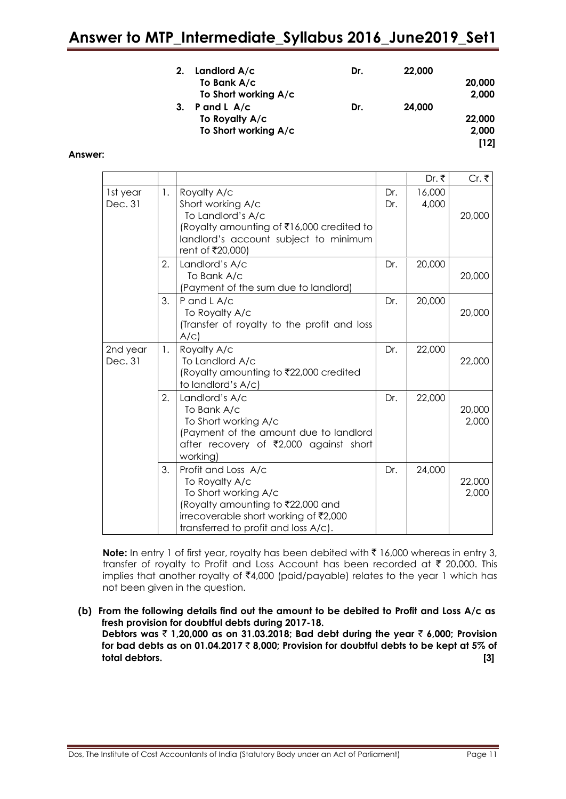|    | Landlord $A/c$       | Dr. | 22,000 |        |
|----|----------------------|-----|--------|--------|
|    | To Bank A/c          |     |        | 20,000 |
|    | To Short working A/c |     |        | 2,000  |
| 3. | P and L $A/c$        | Dr. | 24,000 |        |
|    | To Royalty A/c       |     |        | 22,000 |
|    | To Short working A/c |     |        | 2,000  |
|    |                      |     |        | [12]   |

#### **Answer:**

|                     |    |                                                                                                                                                                                     |            | Dr. ₹           | Cr. ₹           |
|---------------------|----|-------------------------------------------------------------------------------------------------------------------------------------------------------------------------------------|------------|-----------------|-----------------|
| 1st year<br>Dec. 31 | 1. | Royalty A/c<br>Short working A/c<br>To Landlord's A/c<br>(Royalty amounting of ₹16,000 credited to<br>landlord's account subject to minimum<br>rent of ₹20,000)                     | Dr.<br>Dr. | 16,000<br>4,000 | 20,000          |
|                     | 2. | Landlord's A/c<br>To Bank A/c<br>(Payment of the sum due to landlord)                                                                                                               | Dr.        | 20,000          | 20,000          |
|                     | 3. | P and L A/c<br>To Royalty A/c<br>(Transfer of royalty to the profit and loss<br>A/C                                                                                                 | Dr.        | 20,000          | 20,000          |
| 2nd year<br>Dec. 31 | 1. | Royalty A/c<br>To Landlord A/c<br>(Royalty amounting to ₹22,000 credited<br>to landlord's A/c)                                                                                      | Dr.        | 22,000          | 22,000          |
|                     | 2. | Landlord's A/c<br>To Bank A/c<br>To Short working A/c<br>(Payment of the amount due to landlord<br>after recovery of ₹2,000 against short<br>working)                               | Dr.        | 22,000          | 20,000<br>2,000 |
|                     | 3. | Profit and Loss A/c<br>To Royalty A/c<br>To Short working A/c<br>(Royalty amounting to ₹22,000 and<br>irrecoverable short working of ₹2,000<br>transferred to profit and loss A/c). | Dr.        | 24,000          | 22,000<br>2,000 |

**Note:** In entry 1 of first year, royalty has been debited with ₹16,000 whereas in entry 3, transfer of royalty to Profit and Loss Account has been recorded at  $\bar{\tau}$  20,000. This implies that another royalty of  $\bar{x}$ 4,000 (paid/payable) relates to the year 1 which has not been given in the question.

**(b) From the following details find out the amount to be debited to Profit and Loss A/c as fresh provision for doubtful debts during 2017-18. Debtors was** ` **1,20,000 as on 31.03.2018; Bad debt during the year** ` **6,000; Provision for bad debts as on 01.04.2017** ` **8,000; Provision for doubtful debts to be kept at 5% of total debtors. [3]**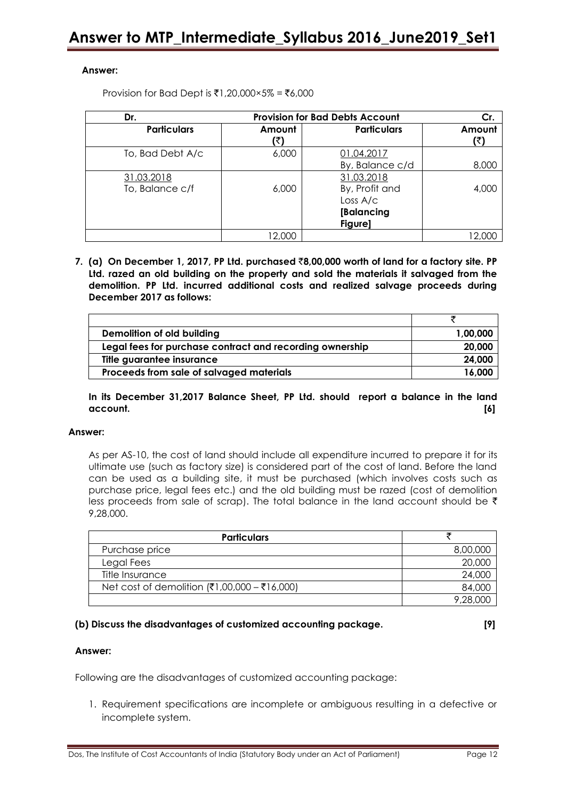#### **Answer:**

Provision for Bad Dept is ₹1,20,000×5% = ₹6,000

| Dr.                | <b>Provision for Bad Debts Account</b> | Cr.                |               |
|--------------------|----------------------------------------|--------------------|---------------|
| <b>Particulars</b> | Amount<br>(₹                           | <b>Particulars</b> | Amount<br>(₹) |
| To, Bad Debt A/c   | 6,000                                  | 01.04.2017         |               |
|                    |                                        | By, Balance c/d    | 8,000         |
| 31.03.2018         |                                        | 31.03.2018         |               |
| To, Balance c/f    | 6,000                                  | By, Profit and     | 4,000         |
|                    |                                        | Loss $A/c$         |               |
|                    |                                        | [Balancing         |               |
|                    |                                        | Figure]            |               |
|                    | 12.000                                 |                    | 12.000        |

**7. (a) On December 1, 2017, PP Ltd. purchased** `**8,00,000 worth of land for a factory site. PP Ltd. razed an old building on the property and sold the materials it salvaged from the demolition. PP Ltd. incurred additional costs and realized salvage proceeds during December 2017 as follows:**

| Demolition of old building                               | 1,00,000 |
|----------------------------------------------------------|----------|
| Legal fees for purchase contract and recording ownership | 20,000   |
| Title guarantee insurance                                | 24,000   |
| Proceeds from sale of salvaged materials                 | 16.000   |

**In its December 31,2017 Balance Sheet, PP Ltd. should report a balance in the land account. [6]**

#### **Answer:**

As per AS-10, the cost of land should include all expenditure incurred to prepare it for its ultimate use (such as factory size) is considered part of the cost of land. Before the land can be used as a building site, it must be purchased (which involves costs such as purchase price, legal fees etc.) and the old building must be razed (cost of demolition less proceeds from sale of scrap). The total balance in the land account should be  $\bar{\tau}$ 9,28,000.

| <b>Particulars</b>                           |          |
|----------------------------------------------|----------|
| Purchase price                               | 8,00,000 |
| Legal Fees                                   | 20,000   |
| Title Insurance                              | 24,000   |
| Net cost of demolition (₹1,00,000 – ₹16,000) | 84,000   |
|                                              | 9 28 000 |

#### **(b) Discuss the disadvantages of customized accounting package. [9]**

#### **Answer:**

Following are the disadvantages of customized accounting package:

1. Requirement specifications are incomplete or ambiguous resulting in a defective or incomplete system.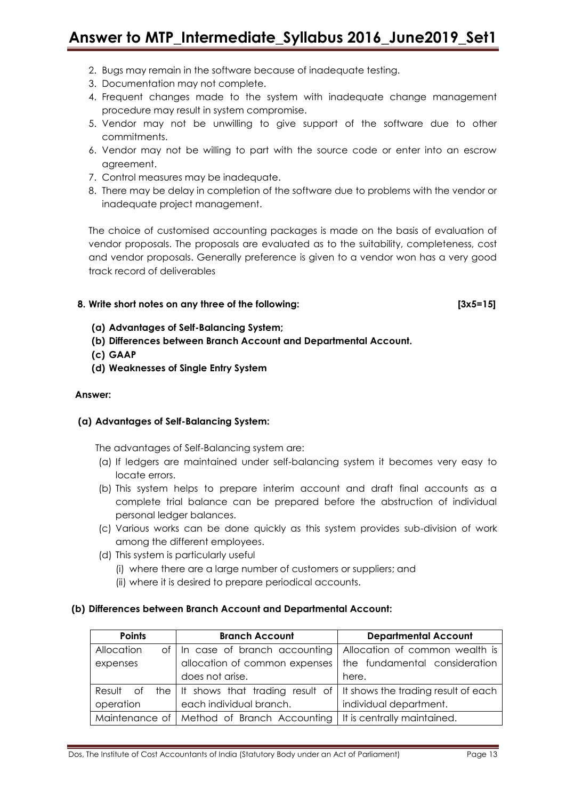- 2. Bugs may remain in the software because of inadequate testing.
- 3. Documentation may not complete.
- 4. Frequent changes made to the system with inadequate change management procedure may result in system compromise.
- 5. Vendor may not be unwilling to give support of the software due to other commitments.
- 6. Vendor may not be willing to part with the source code or enter into an escrow agreement.
- 7. Control measures may be inadequate.
- 8. There may be delay in completion of the software due to problems with the vendor or inadequate project management.

The choice of customised accounting packages is made on the basis of evaluation of vendor proposals. The proposals are evaluated as to the suitability, completeness, cost and vendor proposals. Generally preference is given to a vendor won has a very good track record of deliverables

### **8. Write short notes on any three of the following: [3x5=15]**

- **(a) Advantages of Self-Balancing System;**
- **(b) Differences between Branch Account and Departmental Account.**
- **(c) GAAP**
- **(d) Weaknesses of Single Entry System**

#### **Answer:**

#### **(a) Advantages of Self-Balancing System:**

The advantages of Self-Balancing system are:

- (a) If ledgers are maintained under self-balancing system it becomes very easy to locate errors.
- (b) This system helps to prepare interim account and draft final accounts as a complete trial balance can be prepared before the abstruction of individual personal ledger balances.
- (c) Various works can be done quickly as this system provides sub-division of work among the different employees.
- (d) This system is particularly useful
	- (i) where there are a large number of customers or suppliers; and
	- (ii) where it is desired to prepare periodical accounts.

#### **(b) Differences between Branch Account and Departmental Account:**

| <b>Points</b> | <b>Branch Account</b>                                                       | <b>Departmental Account</b>    |
|---------------|-----------------------------------------------------------------------------|--------------------------------|
| Allocation    | of In case of branch accounting                                             | Allocation of common wealth is |
| expenses      | allocation of common expenses                                               | the fundamental consideration  |
|               | does not arise.                                                             | here.                          |
| Result of     | the   It shows that trading result of   It shows the trading result of each |                                |
| operation     | each individual branch.                                                     | individual department.         |
|               | Maintenance of   Method of Branch Accounting   It is centrally maintained.  |                                |